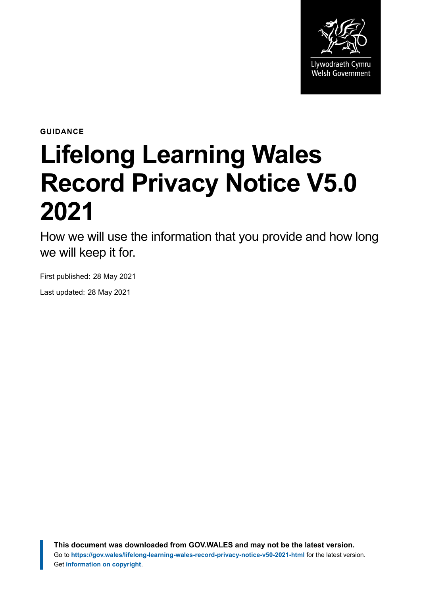

**GUIDANCE**

# **Lifelong Learning Wales Record Privacy Notice V5.0 2021**

How we will use the information that you provide and how long we will keep it for.

First published: 28 May 2021

Last updated: 28 May 2021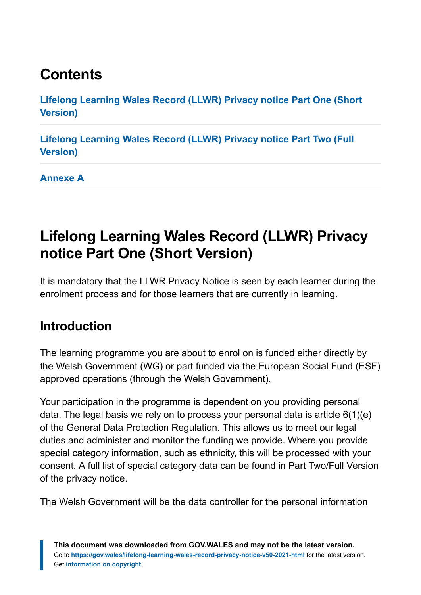# **Contents**

**[Lifelong Learning Wales Record \(LLWR\) Privacy notice Part One \(Short](#page-1-0) [Version\)](#page-1-0)**

**[Lifelong Learning Wales Record \(LLWR\) Privacy notice Part Two \(Full](#page-5-0) [Version\)](#page-5-0)**

**[Annexe A](#page-10-0)**

# <span id="page-1-0"></span>**Lifelong Learning Wales Record (LLWR) Privacy notice Part One (Short Version)**

It is mandatory that the LLWR Privacy Notice is seen by each learner during the enrolment process and for those learners that are currently in learning.

### **Introduction**

The learning programme you are about to enrol on is funded either directly by the Welsh Government (WG) or part funded via the European Social Fund (ESF) approved operations (through the Welsh Government).

Your participation in the programme is dependent on you providing personal data. The legal basis we rely on to process your personal data is article 6(1)(e) of the General Data Protection Regulation. This allows us to meet our legal duties and administer and monitor the funding we provide. Where you provide special category information, such as ethnicity, this will be processed with your consent. A full list of special category data can be found in Part Two/Full Version of the privacy notice.

The Welsh Government will be the data controller for the personal information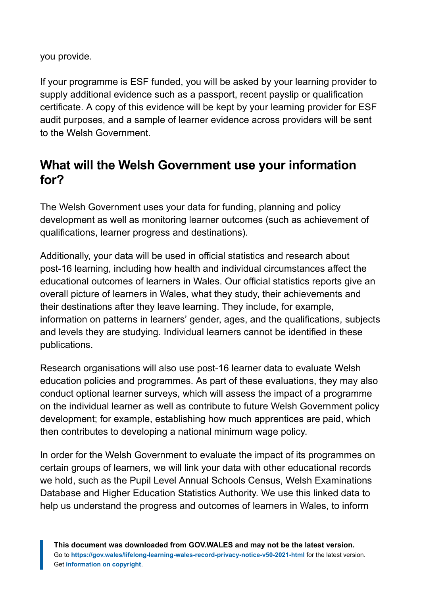you provide.

If your programme is ESF funded, you will be asked by your learning provider to supply additional evidence such as a passport, recent payslip or qualification certificate. A copy of this evidence will be kept by your learning provider for ESF audit purposes, and a sample of learner evidence across providers will be sent to the Welsh Government.

## **What will the Welsh Government use your information for?**

The Welsh Government uses your data for funding, planning and policy development as well as monitoring learner outcomes (such as achievement of qualifications, learner progress and destinations).

Additionally, your data will be used in official statistics and research about post-16 learning, including how health and individual circumstances affect the educational outcomes of learners in Wales. Our official statistics reports give an overall picture of learners in Wales, what they study, their achievements and their destinations after they leave learning. They include, for example, information on patterns in learners' gender, ages, and the qualifications, subjects and levels they are studying. Individual learners cannot be identified in these publications.

Research organisations will also use post-16 learner data to evaluate Welsh education policies and programmes. As part of these evaluations, they may also conduct optional learner surveys, which will assess the impact of a programme on the individual learner as well as contribute to future Welsh Government policy development; for example, establishing how much apprentices are paid, which then contributes to developing a national minimum wage policy.

In order for the Welsh Government to evaluate the impact of its programmes on certain groups of learners, we will link your data with other educational records we hold, such as the Pupil Level Annual Schools Census, Welsh Examinations Database and Higher Education Statistics Authority. We use this linked data to help us understand the progress and outcomes of learners in Wales, to inform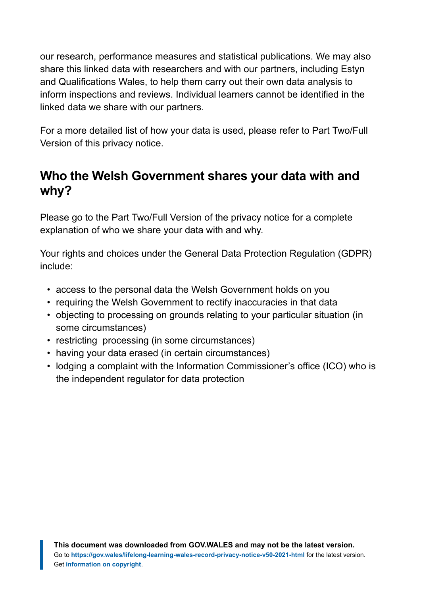our research, performance measures and statistical publications. We may also share this linked data with researchers and with our partners, including Estyn and Qualifications Wales, to help them carry out their own data analysis to inform inspections and reviews. Individual learners cannot be identified in the linked data we share with our partners.

For a more detailed list of how your data is used, please refer to Part Two/Full Version of this privacy notice.

#### **Who the Welsh Government shares your data with and why?**

Please go to the Part Two/Full Version of the privacy notice for a complete explanation of who we share your data with and why.

Your rights and choices under the General Data Protection Regulation (GDPR) include:

- access to the personal data the Welsh Government holds on you
- requiring the Welsh Government to rectify inaccuracies in that data
- objecting to processing on grounds relating to your particular situation (in some circumstances)
- restricting processing (in some circumstances)
- having your data erased (in certain circumstances)
- lodging a complaint with the Information Commissioner's office (ICO) who is the independent regulator for data protection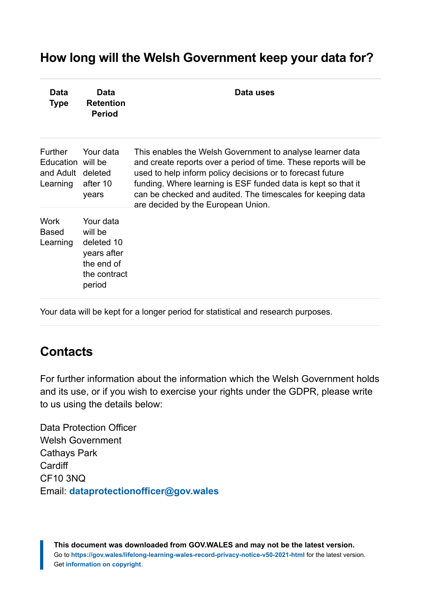#### **How long will the Welsh Government keep your data for?**

| Data<br><b>Type</b>                                                  | Data<br><b>Retention</b><br><b>Period</b>                                                 | Data uses                                                                                                                                                                                                                                                                                                                                                        |
|----------------------------------------------------------------------|-------------------------------------------------------------------------------------------|------------------------------------------------------------------------------------------------------------------------------------------------------------------------------------------------------------------------------------------------------------------------------------------------------------------------------------------------------------------|
| <b>Further</b><br>Education will be<br>and Adult deleted<br>Learning | Your data<br>after 10<br>years                                                            | This enables the Welsh Government to analyse learner data<br>and create reports over a period of time. These reports will be<br>used to help inform policy decisions or to forecast future<br>funding. Where learning is ESF funded data is kept so that it<br>can be checked and audited. The timescales for keeping data<br>are decided by the European Union. |
| Work<br><b>Based</b><br>Learning                                     | Your data<br>will be<br>deleted 10<br>years after<br>the end of<br>the contract<br>period |                                                                                                                                                                                                                                                                                                                                                                  |

Your data will be kept for a longer period for statistical and research purposes.

## **Contacts**

For further information about the information which the Welsh Government holds and its use, or if you wish to exercise your rights under the GDPR, please write to us using the details below:

Data Protection Officer Welsh Government Cathays Park **Cardiff** CF10 3NQ Email: **[dataprotectionofficer@gov.wales](mailto:dataprotectionofficer@gov.wales)**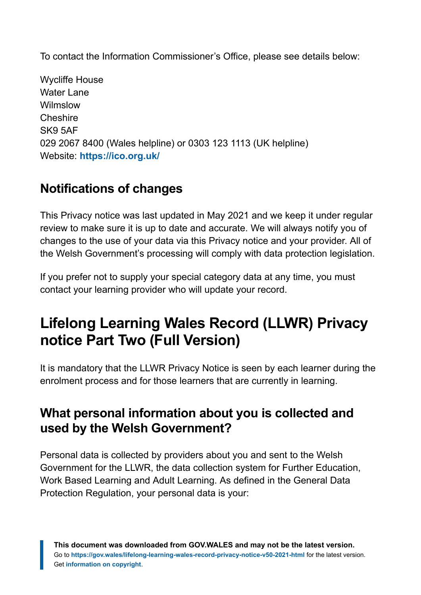To contact the Information Commissioner's Office, please see details below:

Wycliffe House Water Lane Wilmslow **Cheshire** SK9 5AF 029 2067 8400 (Wales helpline) or 0303 123 1113 (UK helpline) Website: **<https://ico.org.uk/>**

## **Notifications of changes**

This Privacy notice was last updated in May 2021 and we keep it under regular review to make sure it is up to date and accurate. We will always notify you of changes to the use of your data via this Privacy notice and your provider. All of the Welsh Government's processing will comply with data protection legislation.

If you prefer not to supply your special category data at any time, you must contact your learning provider who will update your record.

# <span id="page-5-0"></span>**Lifelong Learning Wales Record (LLWR) Privacy notice Part Two (Full Version)**

It is mandatory that the LLWR Privacy Notice is seen by each learner during the enrolment process and for those learners that are currently in learning.

#### **What personal information about you is collected and used by the Welsh Government?**

Personal data is collected by providers about you and sent to the Welsh Government for the LLWR, the data collection system for Further Education, Work Based Learning and Adult Learning. As defined in the General Data Protection Regulation, your personal data is your: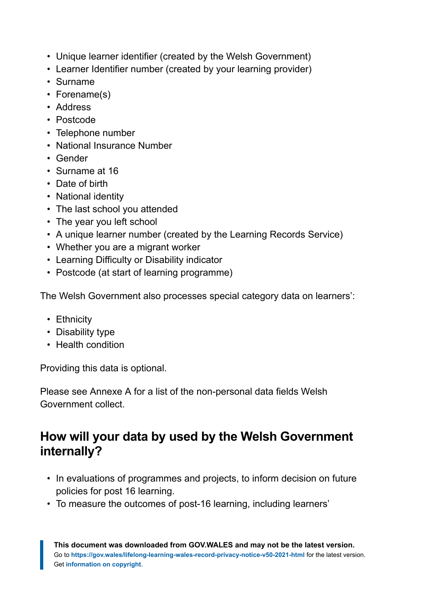- Unique learner identifier (created by the Welsh Government)
- Learner Identifier number (created by your learning provider)
- Surname
- Forename(s)
- Address
- Postcode
- Telephone number
- National Insurance Number
- Gender
- Surname at 16
- Date of birth
- National identity
- The last school you attended
- The year you left school
- A unique learner number (created by the Learning Records Service)
- Whether you are a migrant worker
- Learning Difficulty or Disability indicator
- Postcode (at start of learning programme)

The Welsh Government also processes special category data on learners':

- Ethnicity
- Disability type
- Health condition

Providing this data is optional.

Please see Annexe A for a list of the non-personal data fields Welsh Government collect.

### **How will your data by used by the Welsh Government internally?**

- In evaluations of programmes and projects, to inform decision on future policies for post 16 learning.
- To measure the outcomes of post-16 learning, including learners'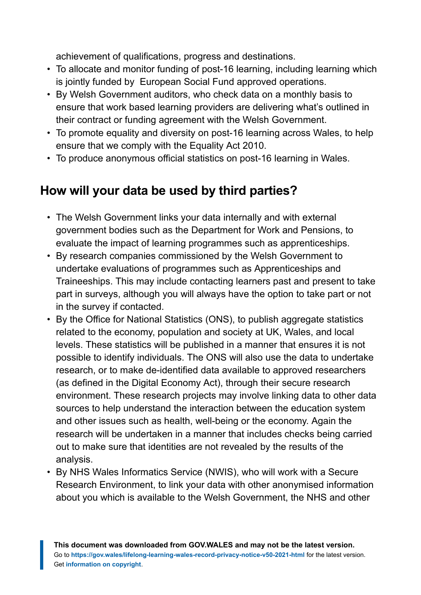achievement of qualifications, progress and destinations.

- To allocate and monitor funding of post-16 learning, including learning which is jointly funded by European Social Fund approved operations.
- By Welsh Government auditors, who check data on a monthly basis to ensure that work based learning providers are delivering what's outlined in their contract or funding agreement with the Welsh Government.
- To promote equality and diversity on post-16 learning across Wales, to help ensure that we comply with the Equality Act 2010.
- To produce anonymous official statistics on post-16 learning in Wales.

### **How will your data be used by third parties?**

- The Welsh Government links your data internally and with external government bodies such as the Department for Work and Pensions, to evaluate the impact of learning programmes such as apprenticeships.
- By research companies commissioned by the Welsh Government to undertake evaluations of programmes such as Apprenticeships and Traineeships. This may include contacting learners past and present to take part in surveys, although you will always have the option to take part or not in the survey if contacted.
- By the Office for National Statistics (ONS), to publish aggregate statistics related to the economy, population and society at UK, Wales, and local levels. These statistics will be published in a manner that ensures it is not possible to identify individuals. The ONS will also use the data to undertake research, or to make de-identified data available to approved researchers (as defined in the Digital Economy Act), through their secure research environment. These research projects may involve linking data to other data sources to help understand the interaction between the education system and other issues such as health, well-being or the economy. Again the research will be undertaken in a manner that includes checks being carried out to make sure that identities are not revealed by the results of the analysis.
- By NHS Wales Informatics Service (NWIS), who will work with a Secure Research Environment, to link your data with other anonymised information about you which is available to the Welsh Government, the NHS and other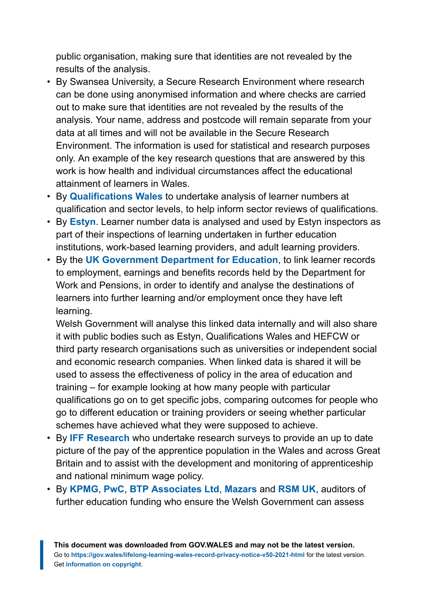public organisation, making sure that identities are not revealed by the results of the analysis.

- By Swansea University, a Secure Research Environment where research can be done using anonymised information and where checks are carried out to make sure that identities are not revealed by the results of the analysis. Your name, address and postcode will remain separate from your data at all times and will not be available in the Secure Research Environment. The information is used for statistical and research purposes only. An example of the key research questions that are answered by this work is how health and individual circumstances affect the educational attainment of learners in Wales.
- By **[Qualifications Wales](https://www.qualificationswales.org/english/)** to undertake analysis of learner numbers at qualification and sector levels, to help inform sector reviews of qualifications.
- By **[Estyn](https://www.estyn.gov.wales/language)**. Learner number data is analysed and used by Estyn inspectors as part of their inspections of learning undertaken in further education institutions, work-based learning providers, and adult learning providers.
- By the **[UK Government Department for Education](https://www.gov.uk/government/organisations/department-for-work-pensions/about/personal-information-charter)**, to link learner records to employment, earnings and benefits records held by the Department for Work and Pensions, in order to identify and analyse the destinations of learners into further learning and/or employment once they have left learning.

Welsh Government will analyse this linked data internally and will also share it with public bodies such as Estyn, Qualifications Wales and HEFCW or third party research organisations such as universities or independent social and economic research companies. When linked data is shared it will be used to assess the effectiveness of policy in the area of education and training – for example looking at how many people with particular qualifications go on to get specific jobs, comparing outcomes for people who go to different education or training providers or seeing whether particular schemes have achieved what they were supposed to achieve.

- By **[IFF Research](http://www.iffresearch.com/)** who undertake research surveys to provide an up to date picture of the pay of the apprentice population in the Wales and across Great Britain and to assist with the development and monitoring of apprenticeship and national minimum wage policy.
- By **[KPMG](https://home.kpmg/uk/en/home.html)**, **[PwC](https://www.pwc.com/)**, **[BTP Associates Ltd](http://btpassoc.co.uk/)**, **[Mazars](https://www.mazars.co.uk/)** and **[RSM UK](https://www.rsmuk.com/)**, auditors of further education funding who ensure the Welsh Government can assess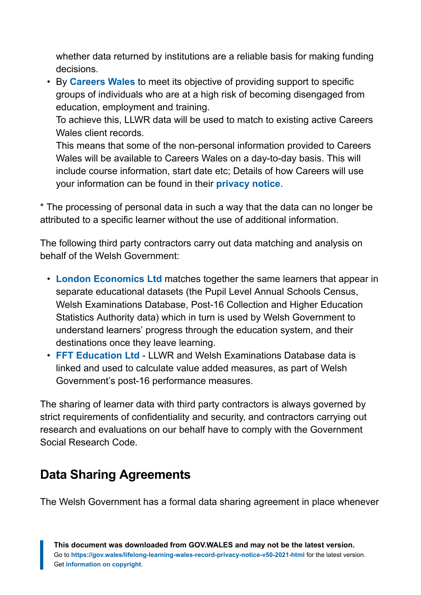whether data returned by institutions are a reliable basis for making funding decisions.

• By **[Careers Wales](https://careerswales.gov.wales/)** to meet its objective of providing support to specific groups of individuals who are at a high risk of becoming disengaged from education, employment and training.

To achieve this, LLWR data will be used to match to existing active Careers Wales client records.

This means that some of the non-personal information provided to Careers Wales will be available to Careers Wales on a day-to-day basis. This will include course information, start date etc; Details of how Careers will use your information can be found in their **[privacy notice](https://careerswales.gov.wales/about-us/privacy-notice)**.

\* The processing of personal data in such a way that the data can no longer be attributed to a specific learner without the use of additional information.

The following third party contractors carry out data matching and analysis on behalf of the Welsh Government:

- **[London Economics Ltd](https://lond1conomics.co.uk/)** matches together the same learners that appear in separate educational datasets (the Pupil Level Annual Schools Census, Welsh Examinations Database, Post-16 Collection and Higher Education Statistics Authority data) which in turn is used by Welsh Government to understand learners' progress through the education system, and their destinations once they leave learning.
- **[FFT Education Ltd](https://fft.org.uk/)** LLWR and Welsh Examinations Database data is linked and used to calculate value added measures, as part of Welsh Government's post-16 performance measures.

The sharing of learner data with third party contractors is always governed by strict requirements of confidentiality and security, and contractors carrying out research and evaluations on our behalf have to comply with the Government Social Research Code.

## **Data Sharing Agreements**

The Welsh Government has a formal data sharing agreement in place whenever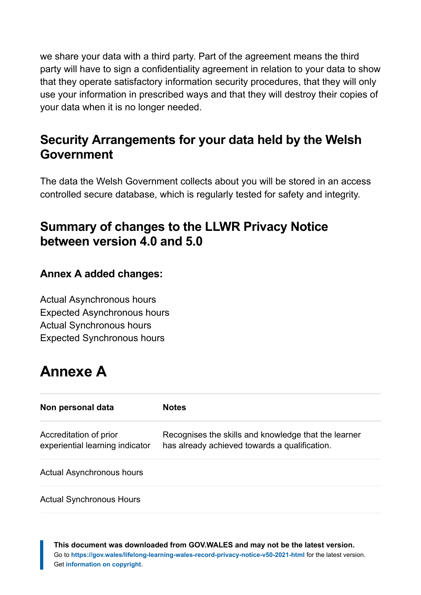we share your data with a third party. Part of the agreement means the third party will have to sign a confidentiality agreement in relation to your data to show that they operate satisfactory information security procedures, that they will only use your information in prescribed ways and that they will destroy their copies of your data when it is no longer needed.

#### **Security Arrangements for your data held by the Welsh Government**

The data the Welsh Government collects about you will be stored in an access controlled secure database, which is regularly tested for safety and integrity.

#### **Summary of changes to the LLWR Privacy Notice between version 4.0 and 5.0**

#### **Annex A added changes:**

Actual Asynchronous hours Expected Asynchronous hours Actual Synchronous hours Expected Synchronous hours

# <span id="page-10-0"></span>**Annexe A**

| Non personal data                                         | <b>Notes</b>                                                                                          |
|-----------------------------------------------------------|-------------------------------------------------------------------------------------------------------|
| Accreditation of prior<br>experiential learning indicator | Recognises the skills and knowledge that the learner<br>has already achieved towards a qualification. |
| <b>Actual Asynchronous hours</b>                          |                                                                                                       |
| <b>Actual Synchronous Hours</b>                           |                                                                                                       |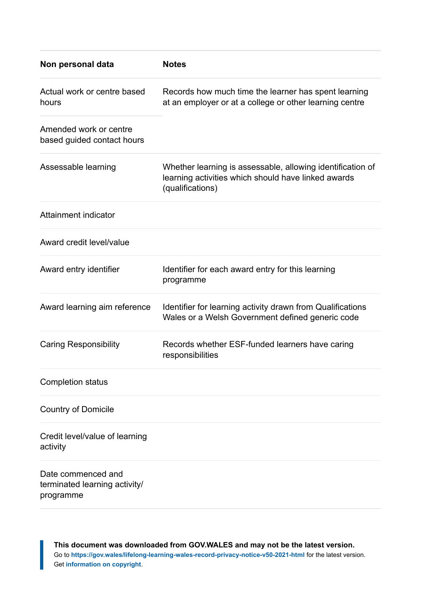| Non personal data                                                | <b>Notes</b>                                                                                                                          |
|------------------------------------------------------------------|---------------------------------------------------------------------------------------------------------------------------------------|
| Actual work or centre based<br>hours                             | Records how much time the learner has spent learning<br>at an employer or at a college or other learning centre                       |
| Amended work or centre<br>based guided contact hours             |                                                                                                                                       |
| Assessable learning                                              | Whether learning is assessable, allowing identification of<br>learning activities which should have linked awards<br>(qualifications) |
| Attainment indicator                                             |                                                                                                                                       |
| Award credit level/value                                         |                                                                                                                                       |
| Award entry identifier                                           | Identifier for each award entry for this learning<br>programme                                                                        |
| Award learning aim reference                                     | Identifier for learning activity drawn from Qualifications<br>Wales or a Welsh Government defined generic code                        |
| <b>Caring Responsibility</b>                                     | Records whether ESF-funded learners have caring<br>responsibilities                                                                   |
| <b>Completion status</b>                                         |                                                                                                                                       |
| <b>Country of Domicile</b>                                       |                                                                                                                                       |
| Credit level/value of learning<br>activity                       |                                                                                                                                       |
| Date commenced and<br>terminated learning activity/<br>programme |                                                                                                                                       |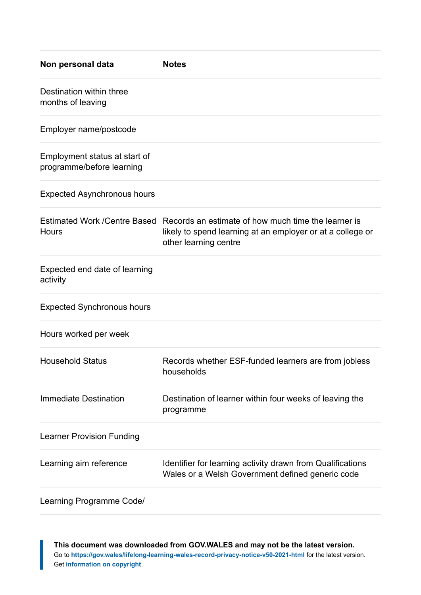| Non personal data                                          | <b>Notes</b>                                                                                                                                                            |
|------------------------------------------------------------|-------------------------------------------------------------------------------------------------------------------------------------------------------------------------|
| Destination within three<br>months of leaving              |                                                                                                                                                                         |
| Employer name/postcode                                     |                                                                                                                                                                         |
| Employment status at start of<br>programme/before learning |                                                                                                                                                                         |
| <b>Expected Asynchronous hours</b>                         |                                                                                                                                                                         |
| Hours                                                      | Estimated Work /Centre Based Records an estimate of how much time the learner is<br>likely to spend learning at an employer or at a college or<br>other learning centre |
| Expected end date of learning<br>activity                  |                                                                                                                                                                         |
| <b>Expected Synchronous hours</b>                          |                                                                                                                                                                         |
| Hours worked per week                                      |                                                                                                                                                                         |
| <b>Household Status</b>                                    | Records whether ESF-funded learners are from jobless<br>households                                                                                                      |
| Immediate Destination                                      | Destination of learner within four weeks of leaving the<br>programme                                                                                                    |
| <b>Learner Provision Funding</b>                           |                                                                                                                                                                         |
| Learning aim reference                                     | Identifier for learning activity drawn from Qualifications<br>Wales or a Welsh Government defined generic code                                                          |
| Learning Programme Code/                                   |                                                                                                                                                                         |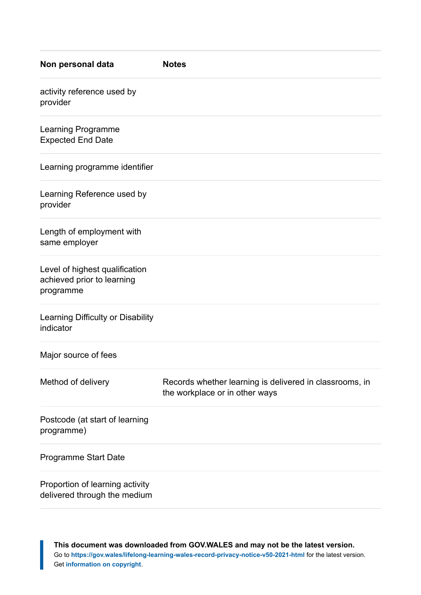| Non personal data                                                         | <b>Notes</b>                                                                              |
|---------------------------------------------------------------------------|-------------------------------------------------------------------------------------------|
| activity reference used by<br>provider                                    |                                                                                           |
| Learning Programme<br><b>Expected End Date</b>                            |                                                                                           |
| Learning programme identifier                                             |                                                                                           |
| Learning Reference used by<br>provider                                    |                                                                                           |
| Length of employment with<br>same employer                                |                                                                                           |
| Level of highest qualification<br>achieved prior to learning<br>programme |                                                                                           |
| Learning Difficulty or Disability<br>indicator                            |                                                                                           |
| Major source of fees                                                      |                                                                                           |
| Method of delivery                                                        | Records whether learning is delivered in classrooms, in<br>the workplace or in other ways |
| Postcode (at start of learning<br>programme)                              |                                                                                           |
| Programme Start Date                                                      |                                                                                           |
| Proportion of learning activity<br>delivered through the medium           |                                                                                           |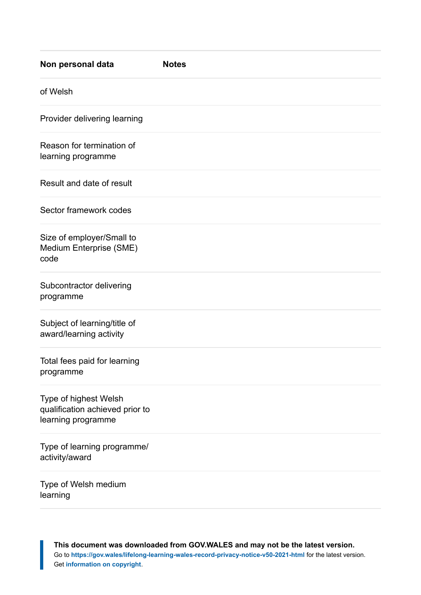| Non personal data                                                              | <b>Notes</b> |
|--------------------------------------------------------------------------------|--------------|
| of Welsh                                                                       |              |
| Provider delivering learning                                                   |              |
| Reason for termination of<br>learning programme                                |              |
| Result and date of result                                                      |              |
| Sector framework codes                                                         |              |
| Size of employer/Small to<br>Medium Enterprise (SME)<br>code                   |              |
| Subcontractor delivering<br>programme                                          |              |
| Subject of learning/title of<br>award/learning activity                        |              |
| Total fees paid for learning<br>programme                                      |              |
| Type of highest Welsh<br>qualification achieved prior to<br>learning programme |              |
| Type of learning programme/<br>activity/award                                  |              |
| Type of Welsh medium<br>learning                                               |              |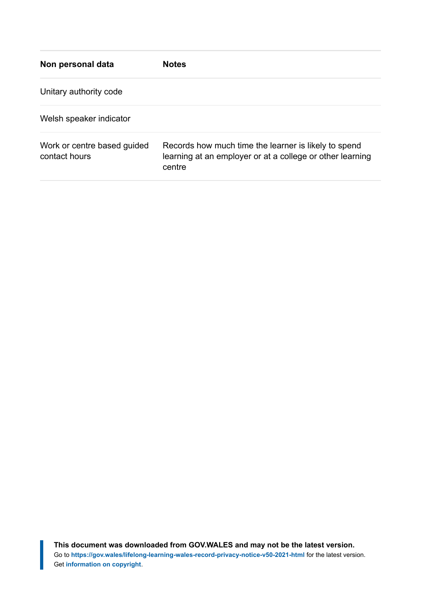| Non personal data                            | <b>Notes</b>                                                                                                                |
|----------------------------------------------|-----------------------------------------------------------------------------------------------------------------------------|
| Unitary authority code                       |                                                                                                                             |
| Welsh speaker indicator                      |                                                                                                                             |
| Work or centre based guided<br>contact hours | Records how much time the learner is likely to spend<br>learning at an employer or at a college or other learning<br>centre |